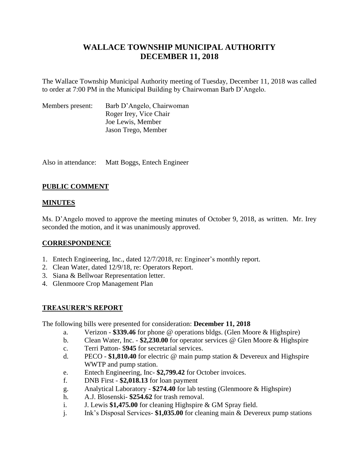# **WALLACE TOWNSHIP MUNICIPAL AUTHORITY DECEMBER 11, 2018**

The Wallace Township Municipal Authority meeting of Tuesday, December 11, 2018 was called to order at 7:00 PM in the Municipal Building by Chairwoman Barb D'Angelo.

| Members present: | Barb D'Angelo, Chairwoman |
|------------------|---------------------------|
|                  | Roger Irey, Vice Chair    |
|                  | Joe Lewis, Member         |
|                  | Jason Trego, Member       |

Also in attendance: Matt Boggs, Entech Engineer

## **PUBLIC COMMENT**

## **MINUTES**

Ms. D'Angelo moved to approve the meeting minutes of October 9, 2018, as written. Mr. Irey seconded the motion, and it was unanimously approved.

## **CORRESPONDENCE**

- 1. Entech Engineering, Inc., dated 12/7/2018, re: Engineer's monthly report.
- 2. Clean Water, dated 12/9/18, re: Operators Report.
- 3. Siana & Bellwoar Representation letter.
- 4. Glenmoore Crop Management Plan

#### **TREASURER'S REPORT**

The following bills were presented for consideration: **December 11, 2018**

- a. Verizon **\$339.46** for phone @ operations bldgs. (Glen Moore & Highspire)
- b. Clean Water, Inc. **\$2,230.00** for operator services @ Glen Moore & Highspire
- c. Terri Patton- \$**945** for secretarial services.
- d. PECO **\$1,810.40** for electric @ main pump station & Devereux and Highspire WWTP and pump station.
- e. Entech Engineering, Inc- **\$2,799.42** for October invoices.
- f. DNB First **\$2,018.13** for loan payment
- g. Analytical Laboratory **\$274.40** for lab testing (Glenmoore & Highspire)
- h. A.J. Blosenski- **\$254.62** for trash removal.
- i. J. Lewis **\$1,475.00** for cleaning Highspire & GM Spray field.
- j. Ink's Disposal Services- **\$1,035.00** for cleaning main & Devereux pump stations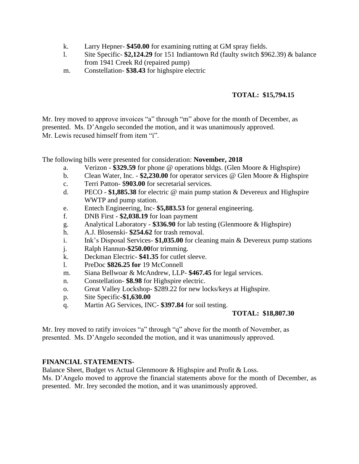- k. Larry Hepner- **\$450.00** for examining rutting at GM spray fields.
- l. Site Specific- **\$2,124.29** for 151 Indiantown Rd (faulty switch \$962.39) & balance from 1941 Creek Rd (repaired pump)
- m. Constellation- **\$38.43** for highspire electric

## **TOTAL: \$15,794.15**

Mr. Irey moved to approve invoices "a" through "m" above for the month of December, as presented. Ms. D'Angelo seconded the motion, and it was unanimously approved. Mr. Lewis recused himself from item "i".

The following bills were presented for consideration: **November, 2018**

- a. Verizon **\$329.59** for phone @ operations bldgs. (Glen Moore & Highspire)
- b. Clean Water, Inc. **\$2,230.00** for operator services @ Glen Moore & Highspire
- c. Terri Patton- \$**903.00** for secretarial services.
- d. PECO **\$1,885.38** for electric @ main pump station & Devereux and Highspire WWTP and pump station.
- e. Entech Engineering, Inc- **\$5,883.53** for general engineering.
- f. DNB First **\$2,038.19** for loan payment
- g. Analytical Laboratory **\$336.90** for lab testing (Glenmoore & Highspire)
- h. A.J. Blosenski- **\$254.62** for trash removal.
- i. Ink's Disposal Services- **\$1,035.00** for cleaning main & Devereux pump stations
- j. Ralph Hannun**-\$250.00**for trimming.
- k. Deckman Electric- **\$41.35** for cutlet sleeve.
- l. PreDoc **\$826.25 for** 19 McConnell
- m. Siana Bellwoar & McAndrew, LLP- **\$467.45** for legal services.
- n. Constellation- **\$8.98** for Highspire electric.
- o. Great Valley Lockshop- \$289.22 for new locks/keys at Highspire.
- p. Site Specific-**\$1,630.00**
- q. Martin AG Services, INC- **\$397.84** for soil testing.

## **TOTAL: \$18,807.30**

Mr. Irey moved to ratify invoices "a" through "q" above for the month of November, as presented. Ms. D'Angelo seconded the motion, and it was unanimously approved.

#### **FINANCIAL STATEMENTS**-

Balance Sheet, Budget vs Actual Glenmoore & Highspire and Profit & Loss.

Ms. D'Angelo moved to approve the financial statements above for the month of December, as presented. Mr. Irey seconded the motion, and it was unanimously approved.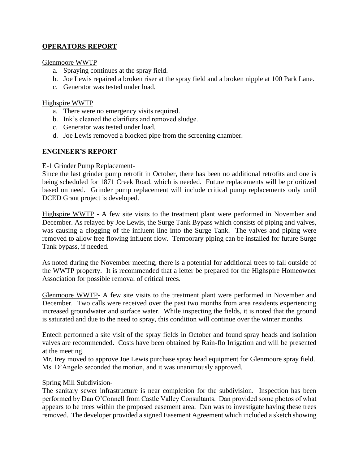## **OPERATORS REPORT**

#### Glenmoore WWTP

- a. Spraying continues at the spray field.
- b. Joe Lewis repaired a broken riser at the spray field and a broken nipple at 100 Park Lane.
- c. Generator was tested under load.

### Highspire WWTP

- a. There were no emergency visits required.
- b. Ink's cleaned the clarifiers and removed sludge.
- c. Generator was tested under load.
- d. Joe Lewis removed a blocked pipe from the screening chamber.

## **ENGINEER'S REPORT**

#### E-1 Grinder Pump Replacement-

Since the last grinder pump retrofit in October, there has been no additional retrofits and one is being scheduled for 1871 Creek Road, which is needed. Future replacements will be prioritized based on need. Grinder pump replacement will include critical pump replacements only until DCED Grant project is developed.

Highspire WWTP - A few site visits to the treatment plant were performed in November and December. As relayed by Joe Lewis, the Surge Tank Bypass which consists of piping and valves, was causing a clogging of the influent line into the Surge Tank. The valves and piping were removed to allow free flowing influent flow. Temporary piping can be installed for future Surge Tank bypass, if needed.

As noted during the November meeting, there is a potential for additional trees to fall outside of the WWTP property. It is recommended that a letter be prepared for the Highspire Homeowner Association for possible removal of critical trees.

Glenmoore WWTP- A few site visits to the treatment plant were performed in November and December. Two calls were received over the past two months from area residents experiencing increased groundwater and surface water. While inspecting the fields, it is noted that the ground is saturated and due to the need to spray, this condition will continue over the winter months.

Entech performed a site visit of the spray fields in October and found spray heads and isolation valves are recommended. Costs have been obtained by Rain-flo Irrigation and will be presented at the meeting.

Mr. Irey moved to approve Joe Lewis purchase spray head equipment for Glenmoore spray field. Ms. D'Angelo seconded the motion, and it was unanimously approved.

## Spring Mill Subdivision-

The sanitary sewer infrastructure is near completion for the subdivision. Inspection has been performed by Dan O'Connell from Castle Valley Consultants. Dan provided some photos of what appears to be trees within the proposed easement area. Dan was to investigate having these trees removed. The developer provided a signed Easement Agreement which included a sketch showing